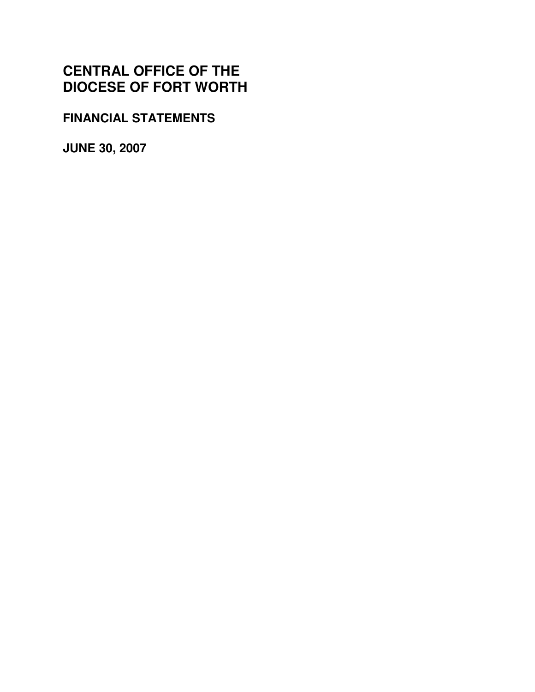# **CENTRAL OFFICE OF THE DIOCESE OF FORT WORTH**

## **FINANCIAL STATEMENTS**

**JUNE 30, 2007**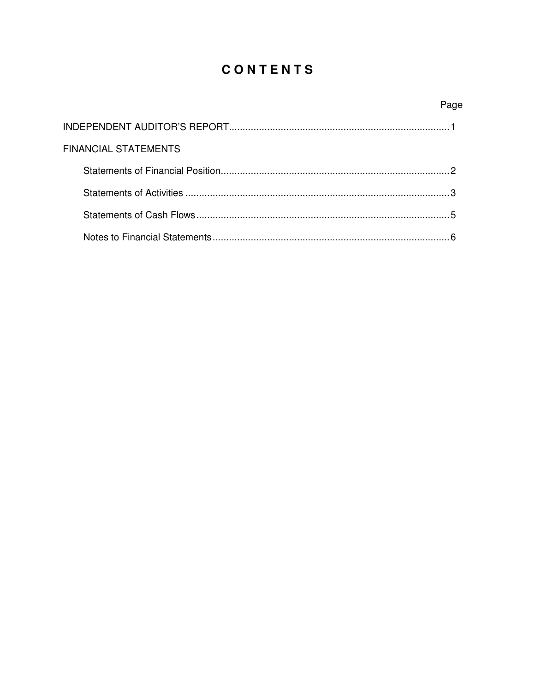## **CONTENTS**

|                      | Page |
|----------------------|------|
|                      |      |
| FINANCIAL STATEMENTS |      |
|                      |      |
|                      |      |
|                      |      |
|                      |      |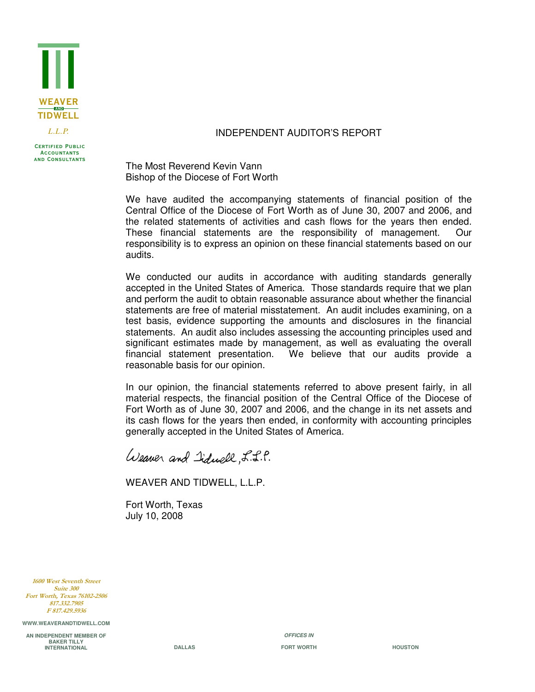

*L.L.P.*

**Certified Public Accountants and Consultants**

#### INDEPENDENT AUDITOR'S REPORT

The Most Reverend Kevin Vann Bishop of the Diocese of Fort Worth

We have audited the accompanying statements of financial position of the Central Office of the Diocese of Fort Worth as of June 30, 2007 and 2006, and the related statements of activities and cash flows for the years then ended. These financial statements are the responsibility of management. Our responsibility is to express an opinion on these financial statements based on our audits.

We conducted our audits in accordance with auditing standards generally accepted in the United States of America. Those standards require that we plan and perform the audit to obtain reasonable assurance about whether the financial statements are free of material misstatement. An audit includes examining, on a test basis, evidence supporting the amounts and disclosures in the financial statements. An audit also includes assessing the accounting principles used and significant estimates made by management, as well as evaluating the overall financial statement presentation. We believe that our audits provide a reasonable basis for our opinion.

In our opinion, the financial statements referred to above present fairly, in all material respects, the financial position of the Central Office of the Diocese of Fort Worth as of June 30, 2007 and 2006, and the change in its net assets and its cash flows for the years then ended, in conformity with accounting principles generally accepted in the United States of America.

Weaver and Iislande L.L.P.

WEAVER AND TIDWELL, L.L.P.

Fort Worth, Texas July 10, 2008

1600 West Seventh Street **Suite 300** Fort Worth, Texas 76102-2506 817.332.7905 F 817, 429, 5936

**WWW.WEAVERANDTIDWELL.COM**

**AN INDEPENDENT MEMBER OF BAKER TILLY INTERNATIONAL**

*OFFICES IN* **DALLAS FORT WORTH HOUSTON**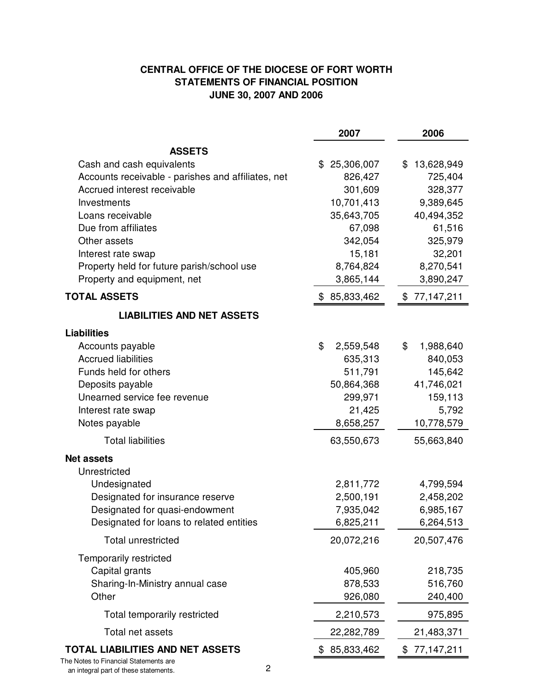## **CENTRAL OFFICE OF THE DIOCESE OF FORT WORTH STATEMENTS OF FINANCIAL POSITION JUNE 30, 2007 AND 2006**

|                                                    | 2007            | 2006             |
|----------------------------------------------------|-----------------|------------------|
| <b>ASSETS</b>                                      |                 |                  |
| Cash and cash equivalents                          | \$25,306,007    | 13,628,949<br>\$ |
| Accounts receivable - parishes and affiliates, net | 826,427         | 725,404          |
| Accrued interest receivable                        | 301,609         | 328,377          |
| Investments                                        | 10,701,413      | 9,389,645        |
| Loans receivable                                   | 35,643,705      | 40,494,352       |
| Due from affiliates                                | 67,098          | 61,516           |
| Other assets                                       | 342,054         | 325,979          |
| Interest rate swap                                 | 15,181          | 32,201           |
| Property held for future parish/school use         | 8,764,824       | 8,270,541        |
| Property and equipment, net                        | 3,865,144       | 3,890,247        |
| <b>TOTAL ASSETS</b>                                | \$85,833,462    | \$77,147,211     |
| <b>LIABILITIES AND NET ASSETS</b>                  |                 |                  |
| <b>Liabilities</b>                                 |                 |                  |
| Accounts payable                                   | \$<br>2,559,548 | \$<br>1,988,640  |
| <b>Accrued liabilities</b>                         | 635,313         | 840,053          |
| Funds held for others                              | 511,791         | 145,642          |
| Deposits payable                                   | 50,864,368      | 41,746,021       |
| Unearned service fee revenue                       | 299,971         | 159,113          |
| Interest rate swap                                 | 21,425          | 5,792            |
| Notes payable                                      | 8,658,257       | 10,778,579       |
| <b>Total liabilities</b>                           | 63,550,673      | 55,663,840       |
| <b>Net assets</b>                                  |                 |                  |
| Unrestricted                                       |                 |                  |
| Undesignated                                       | 2,811,772       | 4,799,594        |
| Designated for insurance reserve                   | 2,500,191       | 2,458,202        |
| Designated for quasi-endowment                     | 7,935,042       | 6,985,167        |
| Designated for loans to related entities           | 6,825,211       | 6,264,513        |
| Total unrestricted                                 | 20,072,216      | 20,507,476       |
| <b>Temporarily restricted</b>                      |                 |                  |
| Capital grants                                     | 405,960         | 218,735          |
| Sharing-In-Ministry annual case                    | 878,533         | 516,760          |
| Other                                              | 926,080         | 240,400          |
| Total temporarily restricted                       | 2,210,573       | 975,895          |
| Total net assets                                   | 22,282,789      | 21,483,371       |
| TOTAL LIABILITIES AND NET ASSETS                   | 85,833,462      | 77,147,211<br>\$ |

The Notes to Financial Statements are an integral part of these statements. 2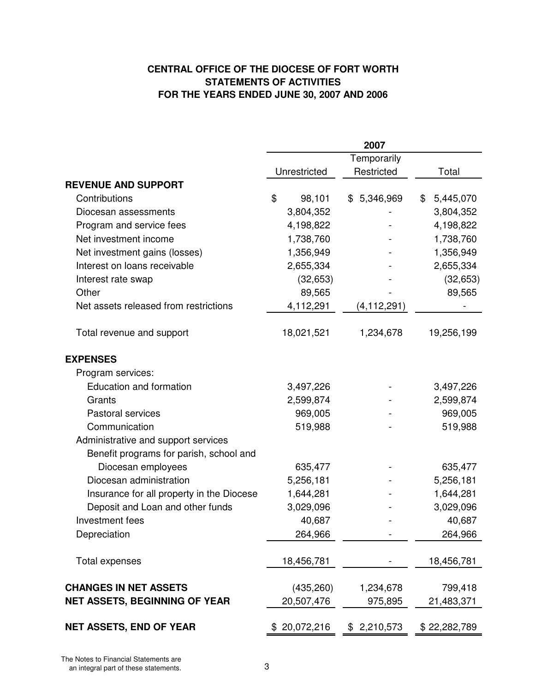## **CENTRAL OFFICE OF THE DIOCESE OF FORT WORTH STATEMENTS OF ACTIVITIES FOR THE YEARS ENDED JUNE 30, 2007 AND 2006**

|                                           |              | 2007          |                 |
|-------------------------------------------|--------------|---------------|-----------------|
|                                           |              | Temporarily   |                 |
|                                           | Unrestricted | Restricted    | Total           |
| <b>REVENUE AND SUPPORT</b>                |              |               |                 |
| Contributions                             | \$<br>98,101 | \$5,346,969   | \$<br>5,445,070 |
| Diocesan assessments                      | 3,804,352    |               | 3,804,352       |
| Program and service fees                  | 4,198,822    |               | 4,198,822       |
| Net investment income                     | 1,738,760    |               | 1,738,760       |
| Net investment gains (losses)             | 1,356,949    |               | 1,356,949       |
| Interest on loans receivable              | 2,655,334    |               | 2,655,334       |
| Interest rate swap                        | (32, 653)    |               | (32, 653)       |
| Other                                     | 89,565       |               | 89,565          |
| Net assets released from restrictions     | 4,112,291    | (4, 112, 291) |                 |
| Total revenue and support                 | 18,021,521   | 1,234,678     | 19,256,199      |
| <b>EXPENSES</b>                           |              |               |                 |
| Program services:                         |              |               |                 |
| <b>Education and formation</b>            | 3,497,226    |               | 3,497,226       |
| Grants                                    | 2,599,874    |               | 2,599,874       |
| Pastoral services                         | 969,005      |               | 969,005         |
| Communication                             | 519,988      |               | 519,988         |
| Administrative and support services       |              |               |                 |
| Benefit programs for parish, school and   |              |               |                 |
| Diocesan employees                        | 635,477      |               | 635,477         |
| Diocesan administration                   | 5,256,181    |               | 5,256,181       |
| Insurance for all property in the Diocese | 1,644,281    |               | 1,644,281       |
| Deposit and Loan and other funds          | 3,029,096    |               | 3,029,096       |
| Investment fees                           | 40,687       |               | 40,687          |
| Depreciation                              | 264,966      |               | 264,966         |
| Total expenses                            | 18,456,781   |               | 18,456,781      |
| <b>CHANGES IN NET ASSETS</b>              | (435, 260)   | 1,234,678     | 799,418         |
| <b>NET ASSETS, BEGINNING OF YEAR</b>      | 20,507,476   | 975,895       | 21,483,371      |
| <b>NET ASSETS, END OF YEAR</b>            | \$20,072,216 | \$2,210,573   | \$22,282,789    |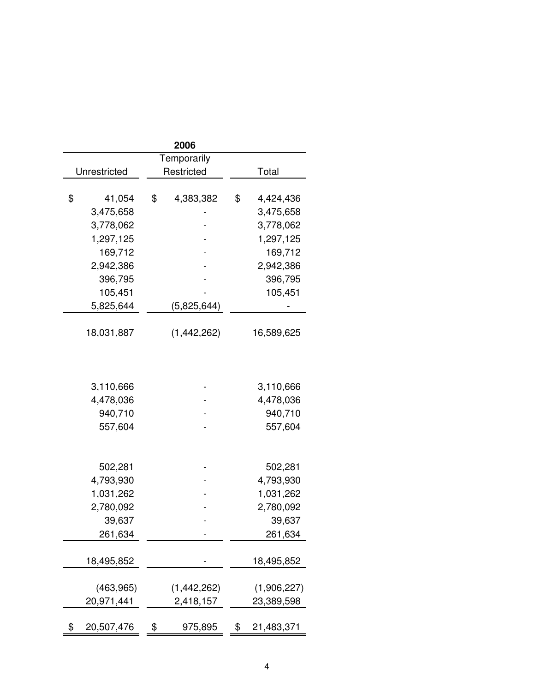|                  | 2006            |                  |
|------------------|-----------------|------------------|
|                  | Temporarily     |                  |
| Unrestricted     | Restricted      | Total            |
|                  |                 |                  |
| \$<br>41,054     | \$<br>4,383,382 | \$<br>4,424,436  |
| 3,475,658        |                 | 3,475,658        |
| 3,778,062        |                 | 3,778,062        |
| 1,297,125        |                 | 1,297,125        |
| 169,712          |                 | 169,712          |
| 2,942,386        |                 | 2,942,386        |
| 396,795          |                 | 396,795          |
| 105,451          |                 | 105,451          |
| 5,825,644        | (5,825,644)     |                  |
|                  |                 |                  |
| 18,031,887       | (1,442,262)     | 16,589,625       |
|                  |                 |                  |
|                  |                 |                  |
| 3,110,666        |                 | 3,110,666        |
| 4,478,036        |                 | 4,478,036        |
| 940,710          |                 | 940,710          |
| 557,604          |                 | 557,604          |
|                  |                 |                  |
|                  |                 |                  |
| 502,281          |                 | 502,281          |
| 4,793,930        |                 | 4,793,930        |
| 1,031,262        |                 | 1,031,262        |
| 2,780,092        |                 | 2,780,092        |
| 39,637           |                 | 39,637           |
| 261,634          |                 | 261,634          |
|                  |                 |                  |
| 18,495,852       |                 | 18,495,852       |
|                  |                 |                  |
| (463, 965)       | (1,442,262)     | (1,906,227)      |
| 20,971,441       | 2,418,157       | 23,389,598       |
| \$<br>20,507,476 | \$<br>975,895   | \$<br>21,483,371 |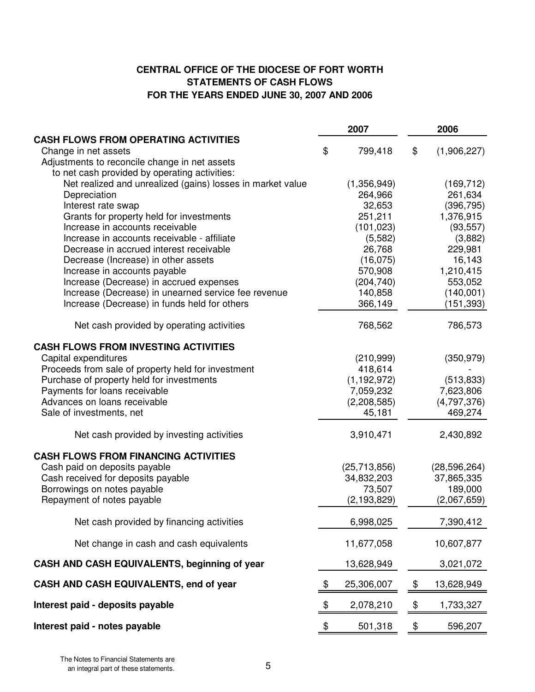## **STATEMENTS OF CASH FLOWS CENTRAL OFFICE OF THE DIOCESE OF FORT WORTH FOR THE YEARS ENDED JUNE 30, 2007 AND 2006**

| <b>CASH FLOWS FROM OPERATING ACTIVITIES</b><br>\$<br>799,418<br>\$<br>(1,906,227)<br>Change in net assets<br>Adjustments to reconcile change in net assets<br>to net cash provided by operating activities:<br>Net realized and unrealized (gains) losses in market value<br>(1,356,949)<br>(169, 712)<br>264,966<br>261,634<br>Depreciation<br>Interest rate swap<br>32,653<br>(396, 795)<br>251,211<br>1,376,915<br>Grants for property held for investments<br>Increase in accounts receivable<br>(101, 023)<br>(93, 557)<br>Increase in accounts receivable - affiliate<br>(5,582)<br>(3,882)<br>26,768<br>229,981<br>Decrease in accrued interest receivable<br>16,143<br>Decrease (Increase) in other assets<br>(16, 075)<br>1,210,415<br>Increase in accounts payable<br>570,908<br>553,052<br>Increase (Decrease) in accrued expenses<br>(204, 740)<br>Increase (Decrease) in unearned service fee revenue<br>140,858<br>(140,001)<br>Increase (Decrease) in funds held for others<br>366,149<br>(151, 393)<br>768,562<br>Net cash provided by operating activities<br>786,573<br><b>CASH FLOWS FROM INVESTING ACTIVITIES</b><br>(350, 979)<br>Capital expenditures<br>(210, 999)<br>418,614<br>Proceeds from sale of property held for investment<br>Purchase of property held for investments<br>(1, 192, 972)<br>(513, 833)<br>Payments for loans receivable<br>7,059,232<br>7,623,806<br>Advances on loans receivable<br>(2,208,585)<br>(4,797,376)<br>469,274<br>Sale of investments, net<br>45,181<br>3,910,471<br>Net cash provided by investing activities<br>2,430,892<br><b>CASH FLOWS FROM FINANCING ACTIVITIES</b><br>Cash paid on deposits payable<br>(25, 713, 856)<br>(28, 596, 264)<br>Cash received for deposits payable<br>34,832,203<br>37,865,335<br>Borrowings on notes payable<br>73,507<br>189,000<br>(2,067,659)<br>Repayment of notes payable<br>(2, 193, 829)<br>Net cash provided by financing activities<br>7,390,412<br>6,998,025<br>11,677,058<br>10,607,877<br>Net change in cash and cash equivalents<br>CASH AND CASH EQUIVALENTS, beginning of year<br>13,628,949<br>3,021,072<br>CASH AND CASH EQUIVALENTS, end of year<br>\$<br>25,306,007<br>13,628,949<br>\$<br>Interest paid - deposits payable<br>\$<br>\$<br>2,078,210<br>1,733,327<br>Interest paid - notes payable<br>\$<br>\$<br>501,318<br>596,207 |  | 2007 | 2006 |
|---------------------------------------------------------------------------------------------------------------------------------------------------------------------------------------------------------------------------------------------------------------------------------------------------------------------------------------------------------------------------------------------------------------------------------------------------------------------------------------------------------------------------------------------------------------------------------------------------------------------------------------------------------------------------------------------------------------------------------------------------------------------------------------------------------------------------------------------------------------------------------------------------------------------------------------------------------------------------------------------------------------------------------------------------------------------------------------------------------------------------------------------------------------------------------------------------------------------------------------------------------------------------------------------------------------------------------------------------------------------------------------------------------------------------------------------------------------------------------------------------------------------------------------------------------------------------------------------------------------------------------------------------------------------------------------------------------------------------------------------------------------------------------------------------------------------------------------------------------------------------------------------------------------------------------------------------------------------------------------------------------------------------------------------------------------------------------------------------------------------------------------------------------------------------------------------------------------------------------------------------------------------------------------------------------------------------------------------------------|--|------|------|
|                                                                                                                                                                                                                                                                                                                                                                                                                                                                                                                                                                                                                                                                                                                                                                                                                                                                                                                                                                                                                                                                                                                                                                                                                                                                                                                                                                                                                                                                                                                                                                                                                                                                                                                                                                                                                                                                                                                                                                                                                                                                                                                                                                                                                                                                                                                                                         |  |      |      |
|                                                                                                                                                                                                                                                                                                                                                                                                                                                                                                                                                                                                                                                                                                                                                                                                                                                                                                                                                                                                                                                                                                                                                                                                                                                                                                                                                                                                                                                                                                                                                                                                                                                                                                                                                                                                                                                                                                                                                                                                                                                                                                                                                                                                                                                                                                                                                         |  |      |      |
|                                                                                                                                                                                                                                                                                                                                                                                                                                                                                                                                                                                                                                                                                                                                                                                                                                                                                                                                                                                                                                                                                                                                                                                                                                                                                                                                                                                                                                                                                                                                                                                                                                                                                                                                                                                                                                                                                                                                                                                                                                                                                                                                                                                                                                                                                                                                                         |  |      |      |
|                                                                                                                                                                                                                                                                                                                                                                                                                                                                                                                                                                                                                                                                                                                                                                                                                                                                                                                                                                                                                                                                                                                                                                                                                                                                                                                                                                                                                                                                                                                                                                                                                                                                                                                                                                                                                                                                                                                                                                                                                                                                                                                                                                                                                                                                                                                                                         |  |      |      |
|                                                                                                                                                                                                                                                                                                                                                                                                                                                                                                                                                                                                                                                                                                                                                                                                                                                                                                                                                                                                                                                                                                                                                                                                                                                                                                                                                                                                                                                                                                                                                                                                                                                                                                                                                                                                                                                                                                                                                                                                                                                                                                                                                                                                                                                                                                                                                         |  |      |      |
|                                                                                                                                                                                                                                                                                                                                                                                                                                                                                                                                                                                                                                                                                                                                                                                                                                                                                                                                                                                                                                                                                                                                                                                                                                                                                                                                                                                                                                                                                                                                                                                                                                                                                                                                                                                                                                                                                                                                                                                                                                                                                                                                                                                                                                                                                                                                                         |  |      |      |
|                                                                                                                                                                                                                                                                                                                                                                                                                                                                                                                                                                                                                                                                                                                                                                                                                                                                                                                                                                                                                                                                                                                                                                                                                                                                                                                                                                                                                                                                                                                                                                                                                                                                                                                                                                                                                                                                                                                                                                                                                                                                                                                                                                                                                                                                                                                                                         |  |      |      |
|                                                                                                                                                                                                                                                                                                                                                                                                                                                                                                                                                                                                                                                                                                                                                                                                                                                                                                                                                                                                                                                                                                                                                                                                                                                                                                                                                                                                                                                                                                                                                                                                                                                                                                                                                                                                                                                                                                                                                                                                                                                                                                                                                                                                                                                                                                                                                         |  |      |      |
|                                                                                                                                                                                                                                                                                                                                                                                                                                                                                                                                                                                                                                                                                                                                                                                                                                                                                                                                                                                                                                                                                                                                                                                                                                                                                                                                                                                                                                                                                                                                                                                                                                                                                                                                                                                                                                                                                                                                                                                                                                                                                                                                                                                                                                                                                                                                                         |  |      |      |
|                                                                                                                                                                                                                                                                                                                                                                                                                                                                                                                                                                                                                                                                                                                                                                                                                                                                                                                                                                                                                                                                                                                                                                                                                                                                                                                                                                                                                                                                                                                                                                                                                                                                                                                                                                                                                                                                                                                                                                                                                                                                                                                                                                                                                                                                                                                                                         |  |      |      |
|                                                                                                                                                                                                                                                                                                                                                                                                                                                                                                                                                                                                                                                                                                                                                                                                                                                                                                                                                                                                                                                                                                                                                                                                                                                                                                                                                                                                                                                                                                                                                                                                                                                                                                                                                                                                                                                                                                                                                                                                                                                                                                                                                                                                                                                                                                                                                         |  |      |      |
|                                                                                                                                                                                                                                                                                                                                                                                                                                                                                                                                                                                                                                                                                                                                                                                                                                                                                                                                                                                                                                                                                                                                                                                                                                                                                                                                                                                                                                                                                                                                                                                                                                                                                                                                                                                                                                                                                                                                                                                                                                                                                                                                                                                                                                                                                                                                                         |  |      |      |
|                                                                                                                                                                                                                                                                                                                                                                                                                                                                                                                                                                                                                                                                                                                                                                                                                                                                                                                                                                                                                                                                                                                                                                                                                                                                                                                                                                                                                                                                                                                                                                                                                                                                                                                                                                                                                                                                                                                                                                                                                                                                                                                                                                                                                                                                                                                                                         |  |      |      |
|                                                                                                                                                                                                                                                                                                                                                                                                                                                                                                                                                                                                                                                                                                                                                                                                                                                                                                                                                                                                                                                                                                                                                                                                                                                                                                                                                                                                                                                                                                                                                                                                                                                                                                                                                                                                                                                                                                                                                                                                                                                                                                                                                                                                                                                                                                                                                         |  |      |      |
|                                                                                                                                                                                                                                                                                                                                                                                                                                                                                                                                                                                                                                                                                                                                                                                                                                                                                                                                                                                                                                                                                                                                                                                                                                                                                                                                                                                                                                                                                                                                                                                                                                                                                                                                                                                                                                                                                                                                                                                                                                                                                                                                                                                                                                                                                                                                                         |  |      |      |
|                                                                                                                                                                                                                                                                                                                                                                                                                                                                                                                                                                                                                                                                                                                                                                                                                                                                                                                                                                                                                                                                                                                                                                                                                                                                                                                                                                                                                                                                                                                                                                                                                                                                                                                                                                                                                                                                                                                                                                                                                                                                                                                                                                                                                                                                                                                                                         |  |      |      |
|                                                                                                                                                                                                                                                                                                                                                                                                                                                                                                                                                                                                                                                                                                                                                                                                                                                                                                                                                                                                                                                                                                                                                                                                                                                                                                                                                                                                                                                                                                                                                                                                                                                                                                                                                                                                                                                                                                                                                                                                                                                                                                                                                                                                                                                                                                                                                         |  |      |      |
|                                                                                                                                                                                                                                                                                                                                                                                                                                                                                                                                                                                                                                                                                                                                                                                                                                                                                                                                                                                                                                                                                                                                                                                                                                                                                                                                                                                                                                                                                                                                                                                                                                                                                                                                                                                                                                                                                                                                                                                                                                                                                                                                                                                                                                                                                                                                                         |  |      |      |
|                                                                                                                                                                                                                                                                                                                                                                                                                                                                                                                                                                                                                                                                                                                                                                                                                                                                                                                                                                                                                                                                                                                                                                                                                                                                                                                                                                                                                                                                                                                                                                                                                                                                                                                                                                                                                                                                                                                                                                                                                                                                                                                                                                                                                                                                                                                                                         |  |      |      |
|                                                                                                                                                                                                                                                                                                                                                                                                                                                                                                                                                                                                                                                                                                                                                                                                                                                                                                                                                                                                                                                                                                                                                                                                                                                                                                                                                                                                                                                                                                                                                                                                                                                                                                                                                                                                                                                                                                                                                                                                                                                                                                                                                                                                                                                                                                                                                         |  |      |      |
|                                                                                                                                                                                                                                                                                                                                                                                                                                                                                                                                                                                                                                                                                                                                                                                                                                                                                                                                                                                                                                                                                                                                                                                                                                                                                                                                                                                                                                                                                                                                                                                                                                                                                                                                                                                                                                                                                                                                                                                                                                                                                                                                                                                                                                                                                                                                                         |  |      |      |
|                                                                                                                                                                                                                                                                                                                                                                                                                                                                                                                                                                                                                                                                                                                                                                                                                                                                                                                                                                                                                                                                                                                                                                                                                                                                                                                                                                                                                                                                                                                                                                                                                                                                                                                                                                                                                                                                                                                                                                                                                                                                                                                                                                                                                                                                                                                                                         |  |      |      |
|                                                                                                                                                                                                                                                                                                                                                                                                                                                                                                                                                                                                                                                                                                                                                                                                                                                                                                                                                                                                                                                                                                                                                                                                                                                                                                                                                                                                                                                                                                                                                                                                                                                                                                                                                                                                                                                                                                                                                                                                                                                                                                                                                                                                                                                                                                                                                         |  |      |      |
|                                                                                                                                                                                                                                                                                                                                                                                                                                                                                                                                                                                                                                                                                                                                                                                                                                                                                                                                                                                                                                                                                                                                                                                                                                                                                                                                                                                                                                                                                                                                                                                                                                                                                                                                                                                                                                                                                                                                                                                                                                                                                                                                                                                                                                                                                                                                                         |  |      |      |
|                                                                                                                                                                                                                                                                                                                                                                                                                                                                                                                                                                                                                                                                                                                                                                                                                                                                                                                                                                                                                                                                                                                                                                                                                                                                                                                                                                                                                                                                                                                                                                                                                                                                                                                                                                                                                                                                                                                                                                                                                                                                                                                                                                                                                                                                                                                                                         |  |      |      |
|                                                                                                                                                                                                                                                                                                                                                                                                                                                                                                                                                                                                                                                                                                                                                                                                                                                                                                                                                                                                                                                                                                                                                                                                                                                                                                                                                                                                                                                                                                                                                                                                                                                                                                                                                                                                                                                                                                                                                                                                                                                                                                                                                                                                                                                                                                                                                         |  |      |      |
|                                                                                                                                                                                                                                                                                                                                                                                                                                                                                                                                                                                                                                                                                                                                                                                                                                                                                                                                                                                                                                                                                                                                                                                                                                                                                                                                                                                                                                                                                                                                                                                                                                                                                                                                                                                                                                                                                                                                                                                                                                                                                                                                                                                                                                                                                                                                                         |  |      |      |
|                                                                                                                                                                                                                                                                                                                                                                                                                                                                                                                                                                                                                                                                                                                                                                                                                                                                                                                                                                                                                                                                                                                                                                                                                                                                                                                                                                                                                                                                                                                                                                                                                                                                                                                                                                                                                                                                                                                                                                                                                                                                                                                                                                                                                                                                                                                                                         |  |      |      |
|                                                                                                                                                                                                                                                                                                                                                                                                                                                                                                                                                                                                                                                                                                                                                                                                                                                                                                                                                                                                                                                                                                                                                                                                                                                                                                                                                                                                                                                                                                                                                                                                                                                                                                                                                                                                                                                                                                                                                                                                                                                                                                                                                                                                                                                                                                                                                         |  |      |      |
|                                                                                                                                                                                                                                                                                                                                                                                                                                                                                                                                                                                                                                                                                                                                                                                                                                                                                                                                                                                                                                                                                                                                                                                                                                                                                                                                                                                                                                                                                                                                                                                                                                                                                                                                                                                                                                                                                                                                                                                                                                                                                                                                                                                                                                                                                                                                                         |  |      |      |
|                                                                                                                                                                                                                                                                                                                                                                                                                                                                                                                                                                                                                                                                                                                                                                                                                                                                                                                                                                                                                                                                                                                                                                                                                                                                                                                                                                                                                                                                                                                                                                                                                                                                                                                                                                                                                                                                                                                                                                                                                                                                                                                                                                                                                                                                                                                                                         |  |      |      |
|                                                                                                                                                                                                                                                                                                                                                                                                                                                                                                                                                                                                                                                                                                                                                                                                                                                                                                                                                                                                                                                                                                                                                                                                                                                                                                                                                                                                                                                                                                                                                                                                                                                                                                                                                                                                                                                                                                                                                                                                                                                                                                                                                                                                                                                                                                                                                         |  |      |      |
|                                                                                                                                                                                                                                                                                                                                                                                                                                                                                                                                                                                                                                                                                                                                                                                                                                                                                                                                                                                                                                                                                                                                                                                                                                                                                                                                                                                                                                                                                                                                                                                                                                                                                                                                                                                                                                                                                                                                                                                                                                                                                                                                                                                                                                                                                                                                                         |  |      |      |
|                                                                                                                                                                                                                                                                                                                                                                                                                                                                                                                                                                                                                                                                                                                                                                                                                                                                                                                                                                                                                                                                                                                                                                                                                                                                                                                                                                                                                                                                                                                                                                                                                                                                                                                                                                                                                                                                                                                                                                                                                                                                                                                                                                                                                                                                                                                                                         |  |      |      |
|                                                                                                                                                                                                                                                                                                                                                                                                                                                                                                                                                                                                                                                                                                                                                                                                                                                                                                                                                                                                                                                                                                                                                                                                                                                                                                                                                                                                                                                                                                                                                                                                                                                                                                                                                                                                                                                                                                                                                                                                                                                                                                                                                                                                                                                                                                                                                         |  |      |      |
|                                                                                                                                                                                                                                                                                                                                                                                                                                                                                                                                                                                                                                                                                                                                                                                                                                                                                                                                                                                                                                                                                                                                                                                                                                                                                                                                                                                                                                                                                                                                                                                                                                                                                                                                                                                                                                                                                                                                                                                                                                                                                                                                                                                                                                                                                                                                                         |  |      |      |
|                                                                                                                                                                                                                                                                                                                                                                                                                                                                                                                                                                                                                                                                                                                                                                                                                                                                                                                                                                                                                                                                                                                                                                                                                                                                                                                                                                                                                                                                                                                                                                                                                                                                                                                                                                                                                                                                                                                                                                                                                                                                                                                                                                                                                                                                                                                                                         |  |      |      |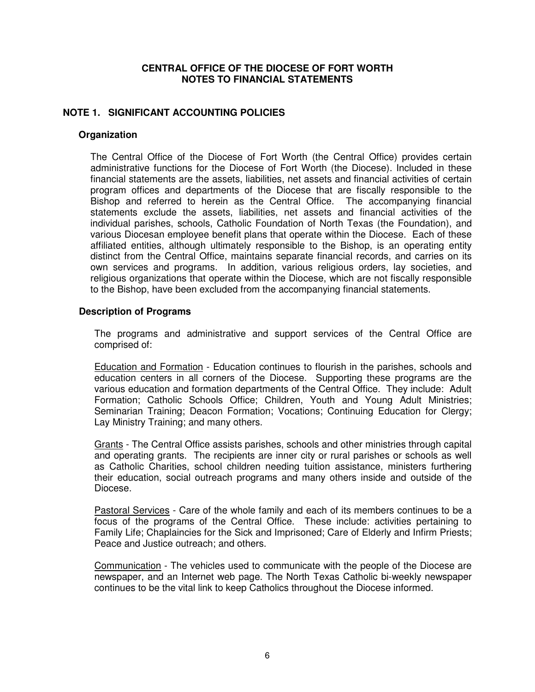#### **NOTE 1. SIGNIFICANT ACCOUNTING POLICIES**

#### **Organization**

The Central Office of the Diocese of Fort Worth (the Central Office) provides certain administrative functions for the Diocese of Fort Worth (the Diocese). Included in these financial statements are the assets, liabilities, net assets and financial activities of certain program offices and departments of the Diocese that are fiscally responsible to the Bishop and referred to herein as the Central Office. The accompanying financial statements exclude the assets, liabilities, net assets and financial activities of the individual parishes, schools, Catholic Foundation of North Texas (the Foundation), and various Diocesan employee benefit plans that operate within the Diocese. Each of these affiliated entities, although ultimately responsible to the Bishop, is an operating entity distinct from the Central Office, maintains separate financial records, and carries on its own services and programs. In addition, various religious orders, lay societies, and religious organizations that operate within the Diocese, which are not fiscally responsible to the Bishop, have been excluded from the accompanying financial statements.

#### **Description of Programs**

The programs and administrative and support services of the Central Office are comprised of:

Education and Formation - Education continues to flourish in the parishes, schools and education centers in all corners of the Diocese. Supporting these programs are the various education and formation departments of the Central Office. They include: Adult Formation; Catholic Schools Office; Children, Youth and Young Adult Ministries; Seminarian Training; Deacon Formation; Vocations; Continuing Education for Clergy; Lay Ministry Training; and many others.

Grants - The Central Office assists parishes, schools and other ministries through capital and operating grants. The recipients are inner city or rural parishes or schools as well as Catholic Charities, school children needing tuition assistance, ministers furthering their education, social outreach programs and many others inside and outside of the Diocese.

Pastoral Services - Care of the whole family and each of its members continues to be a focus of the programs of the Central Office. These include: activities pertaining to Family Life; Chaplaincies for the Sick and Imprisoned; Care of Elderly and Infirm Priests; Peace and Justice outreach; and others.

Communication - The vehicles used to communicate with the people of the Diocese are newspaper, and an Internet web page. The North Texas Catholic bi-weekly newspaper continues to be the vital link to keep Catholics throughout the Diocese informed.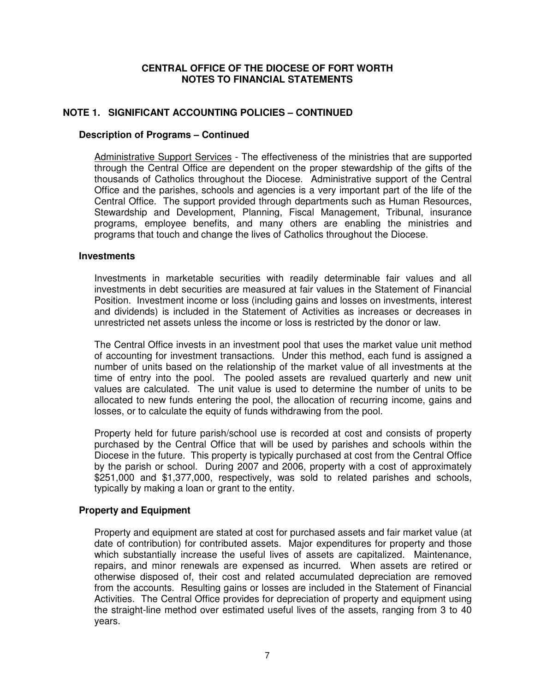#### **NOTE 1. SIGNIFICANT ACCOUNTING POLICIES – CONTINUED**

#### **Description of Programs – Continued**

Administrative Support Services - The effectiveness of the ministries that are supported through the Central Office are dependent on the proper stewardship of the gifts of the thousands of Catholics throughout the Diocese. Administrative support of the Central Office and the parishes, schools and agencies is a very important part of the life of the Central Office. The support provided through departments such as Human Resources, Stewardship and Development, Planning, Fiscal Management, Tribunal, insurance programs, employee benefits, and many others are enabling the ministries and programs that touch and change the lives of Catholics throughout the Diocese.

#### **Investments**

Investments in marketable securities with readily determinable fair values and all investments in debt securities are measured at fair values in the Statement of Financial Position. Investment income or loss (including gains and losses on investments, interest and dividends) is included in the Statement of Activities as increases or decreases in unrestricted net assets unless the income or loss is restricted by the donor or law.

The Central Office invests in an investment pool that uses the market value unit method of accounting for investment transactions. Under this method, each fund is assigned a number of units based on the relationship of the market value of all investments at the time of entry into the pool. The pooled assets are revalued quarterly and new unit values are calculated. The unit value is used to determine the number of units to be allocated to new funds entering the pool, the allocation of recurring income, gains and losses, or to calculate the equity of funds withdrawing from the pool.

Property held for future parish/school use is recorded at cost and consists of property purchased by the Central Office that will be used by parishes and schools within the Diocese in the future. This property is typically purchased at cost from the Central Office by the parish or school. During 2007 and 2006, property with a cost of approximately \$251,000 and \$1,377,000, respectively, was sold to related parishes and schools, typically by making a loan or grant to the entity.

#### **Property and Equipment**

Property and equipment are stated at cost for purchased assets and fair market value (at date of contribution) for contributed assets. Major expenditures for property and those which substantially increase the useful lives of assets are capitalized. Maintenance, repairs, and minor renewals are expensed as incurred. When assets are retired or otherwise disposed of, their cost and related accumulated depreciation are removed from the accounts. Resulting gains or losses are included in the Statement of Financial Activities. The Central Office provides for depreciation of property and equipment using the straight-line method over estimated useful lives of the assets, ranging from 3 to 40 years.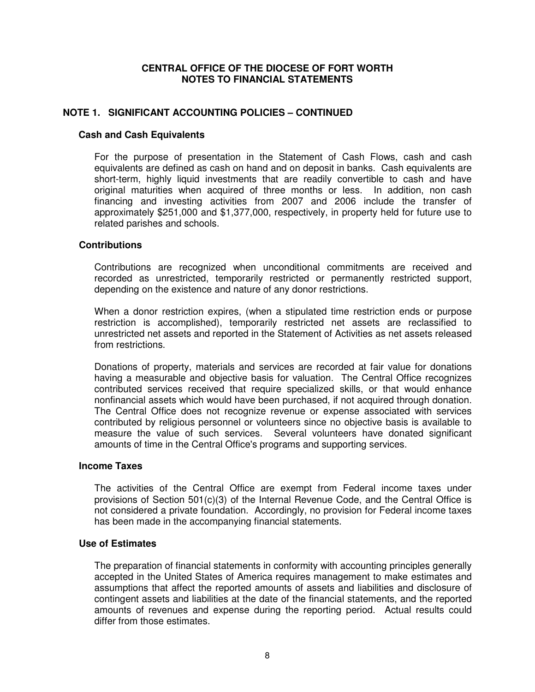#### **NOTE 1. SIGNIFICANT ACCOUNTING POLICIES – CONTINUED**

#### **Cash and Cash Equivalents**

For the purpose of presentation in the Statement of Cash Flows, cash and cash equivalents are defined as cash on hand and on deposit in banks. Cash equivalents are short-term, highly liquid investments that are readily convertible to cash and have original maturities when acquired of three months or less. In addition, non cash financing and investing activities from 2007 and 2006 include the transfer of approximately \$251,000 and \$1,377,000, respectively, in property held for future use to related parishes and schools.

#### **Contributions**

Contributions are recognized when unconditional commitments are received and recorded as unrestricted, temporarily restricted or permanently restricted support, depending on the existence and nature of any donor restrictions.

When a donor restriction expires, (when a stipulated time restriction ends or purpose restriction is accomplished), temporarily restricted net assets are reclassified to unrestricted net assets and reported in the Statement of Activities as net assets released from restrictions.

Donations of property, materials and services are recorded at fair value for donations having a measurable and objective basis for valuation. The Central Office recognizes contributed services received that require specialized skills, or that would enhance nonfinancial assets which would have been purchased, if not acquired through donation. The Central Office does not recognize revenue or expense associated with services contributed by religious personnel or volunteers since no objective basis is available to measure the value of such services. Several volunteers have donated significant amounts of time in the Central Office's programs and supporting services.

#### **Income Taxes**

The activities of the Central Office are exempt from Federal income taxes under provisions of Section 501(c)(3) of the Internal Revenue Code, and the Central Office is not considered a private foundation. Accordingly, no provision for Federal income taxes has been made in the accompanying financial statements.

#### **Use of Estimates**

The preparation of financial statements in conformity with accounting principles generally accepted in the United States of America requires management to make estimates and assumptions that affect the reported amounts of assets and liabilities and disclosure of contingent assets and liabilities at the date of the financial statements, and the reported amounts of revenues and expense during the reporting period. Actual results could differ from those estimates.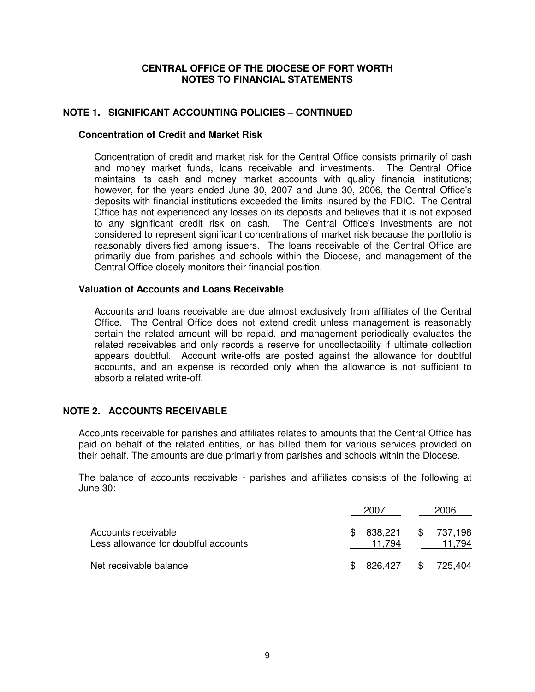#### **NOTE 1. SIGNIFICANT ACCOUNTING POLICIES – CONTINUED**

#### **Concentration of Credit and Market Risk**

Concentration of credit and market risk for the Central Office consists primarily of cash and money market funds, loans receivable and investments. The Central Office maintains its cash and money market accounts with quality financial institutions; however, for the years ended June 30, 2007 and June 30, 2006, the Central Office's deposits with financial institutions exceeded the limits insured by the FDIC. The Central Office has not experienced any losses on its deposits and believes that it is not exposed to any significant credit risk on cash. The Central Office's investments are not considered to represent significant concentrations of market risk because the portfolio is reasonably diversified among issuers. The loans receivable of the Central Office are primarily due from parishes and schools within the Diocese, and management of the Central Office closely monitors their financial position.

#### **Valuation of Accounts and Loans Receivable**

Accounts and loans receivable are due almost exclusively from affiliates of the Central Office. The Central Office does not extend credit unless management is reasonably certain the related amount will be repaid, and management periodically evaluates the related receivables and only records a reserve for uncollectability if ultimate collection appears doubtful. Account write-offs are posted against the allowance for doubtful accounts, and an expense is recorded only when the allowance is not sufficient to absorb a related write-off.

### **NOTE 2. ACCOUNTS RECEIVABLE**

Accounts receivable for parishes and affiliates relates to amounts that the Central Office has paid on behalf of the related entities, or has billed them for various services provided on their behalf. The amounts are due primarily from parishes and schools within the Diocese.

The balance of accounts receivable - parishes and affiliates consists of the following at June 30:

|                                                             |     | 2007              | 2006                |
|-------------------------------------------------------------|-----|-------------------|---------------------|
| Accounts receivable<br>Less allowance for doubtful accounts | \$. | 838.221<br>11.794 | \$737,198<br>11.794 |
| Net receivable balance                                      |     | 826.427           | \$725,404           |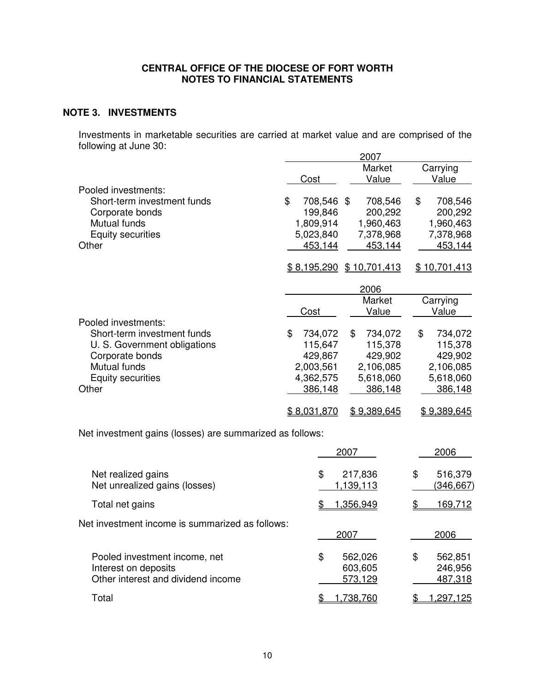#### **NOTE 3. INVESTMENTS**

Investments in marketable securities are carried at market value and are comprised of the following at June 30: 2007

|                              |                    | 2007            |                     |
|------------------------------|--------------------|-----------------|---------------------|
|                              | Cost               | Market<br>Value | Carrying<br>Value   |
| Pooled investments:          |                    |                 |                     |
| Short-term investment funds  | \$<br>708,546 \$   | 708,546         | \$<br>708,546       |
| Corporate bonds              | 199,846            | 200,292         | 200,292             |
| Mutual funds                 | 1,809,914          | 1,960,463       | 1,960,463           |
| Equity securities            | 5,023,840          | 7,378,968       | 7,378,968           |
| Other                        | 453,144            | 453,144         | 453,144             |
|                              | \$8,195,290        | \$10,701,413    | <u>\$10,701,413</u> |
|                              |                    | 2006            |                     |
|                              |                    | Market          | Carrying            |
|                              | Cost               | Value           | Value               |
| Pooled investments:          |                    |                 |                     |
| Short-term investment funds  | \$<br>734,072      | \$<br>734,072   | \$<br>734,072       |
| U. S. Government obligations | 115,647            | 115,378         | 115,378             |
| Corporate bonds              | 429,867            | 429,902         | 429,902             |
| Mutual funds                 | 2,003,561          | 2,106,085       | 2,106,085           |
| <b>Equity securities</b>     | 4,362,575          | 5,618,060       | 5,618,060           |
| Other                        | 386,148            | 386,148         | 386,148             |
|                              | <u>\$8.031.870</u> | \$9.389,645     | \$9.389,645         |

Net investment gains (losses) are summarized as follows:

|                                                                                             | 2007                                | 2006                                |
|---------------------------------------------------------------------------------------------|-------------------------------------|-------------------------------------|
| Net realized gains<br>Net unrealized gains (losses)                                         | 217,836<br>\$<br>1,139,113          | 516,379<br>\$<br>(346,667)          |
| Total net gains                                                                             | <u>1,356,949</u>                    | 69,712                              |
| Net investment income is summarized as follows:                                             | 2007                                | 2006                                |
| Pooled investment income, net<br>Interest on deposits<br>Other interest and dividend income | \$<br>562,026<br>603,605<br>573,129 | 562,851<br>\$<br>246,956<br>487,318 |
| Total                                                                                       | 738,760                             | 297.                                |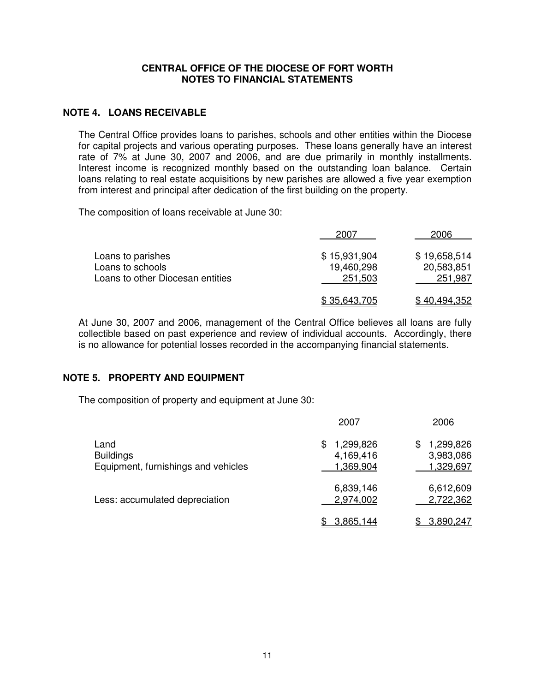#### **NOTE 4. LOANS RECEIVABLE**

The Central Office provides loans to parishes, schools and other entities within the Diocese for capital projects and various operating purposes. These loans generally have an interest rate of 7% at June 30, 2007 and 2006, and are due primarily in monthly installments. Interest income is recognized monthly based on the outstanding loan balance. Certain loans relating to real estate acquisitions by new parishes are allowed a five year exemption from interest and principal after dedication of the first building on the property.

The composition of loans receivable at June 30:

|                                                                           | 2007                                  | 2006                                  |
|---------------------------------------------------------------------------|---------------------------------------|---------------------------------------|
| Loans to parishes<br>Loans to schools<br>Loans to other Diocesan entities | \$15,931,904<br>19,460,298<br>251,503 | \$19,658,514<br>20,583,851<br>251,987 |
|                                                                           | \$35,643,705                          | \$40,494,352                          |

At June 30, 2007 and 2006, management of the Central Office believes all loans are fully collectible based on past experience and review of individual accounts. Accordingly, there is no allowance for potential losses recorded in the accompanying financial statements.

#### **NOTE 5. PROPERTY AND EQUIPMENT**

The composition of property and equipment at June 30:

|                                                                 | 2007                                     | 2006                                |
|-----------------------------------------------------------------|------------------------------------------|-------------------------------------|
| Land<br><b>Buildings</b><br>Equipment, furnishings and vehicles | 1,299,826<br>S<br>4,169,416<br>1,369,904 | 1,299,826<br>3,983,086<br>1,329,697 |
| Less: accumulated depreciation                                  | 6,839,146<br>2,974,002                   | 6,612,609<br>2,722,362              |
|                                                                 | 3,865,144                                | 3,890,247                           |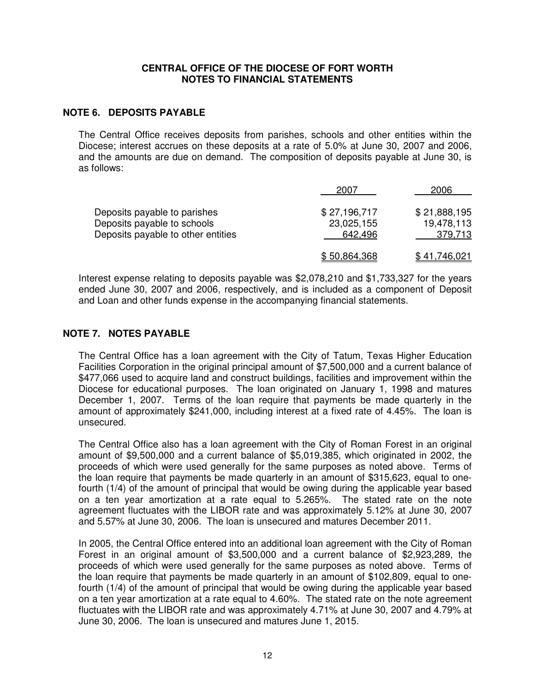#### **NOTE 6. DEPOSITS PAYABLE**

The Central Office receives deposits from parishes, schools and other entities within the Diocese; interest accrues on these deposits at a rate of 5.0% at June 30, 2007 and 2006, and the amounts are due on demand. The composition of deposits payable at June 30, is as follows:

|                                                                                                   | 2007                                  | 2006                                  |
|---------------------------------------------------------------------------------------------------|---------------------------------------|---------------------------------------|
| Deposits payable to parishes<br>Deposits payable to schools<br>Deposits payable to other entities | \$27,196,717<br>23,025,155<br>642,496 | \$21,888,195<br>19,478,113<br>379,713 |
|                                                                                                   | \$50,864,368                          | \$41.746.021                          |

Interest expense relating to deposits payable was \$2,078,210 and \$1,733,327 for the years ended June 30, 2007 and 2006, respectively, and is included as a component of Deposit and Loan and other funds expense in the accompanying financial statements.

#### **NOTE 7. NOTES PAYABLE**

The Central Office has a loan agreement with the City of Tatum, Texas Higher Education Facilities Corporation in the original principal amount of \$7,500,000 and a current balance of \$477,066 used to acquire land and construct buildings, facilities and improvement within the Diocese for educational purposes. The loan originated on January 1, 1998 and matures December 1, 2007. Terms of the loan require that payments be made quarterly in the amount of approximately \$241,000, including interest at a fixed rate of 4.45%. The loan is unsecured.

The Central Office also has a loan agreement with the City of Roman Forest in an original amount of \$9,500,000 and a current balance of \$5,019,385, which originated in 2002, the proceeds of which were used generally for the same purposes as noted above. Terms of the loan require that payments be made quarterly in an amount of \$315,623, equal to onefourth (1/4) of the amount of principal that would be owing during the applicable year based on a ten year amortization at a rate equal to 5.265%. The stated rate on the note agreement fluctuates with the LIBOR rate and was approximately 5.12% at June 30, 2007 and 5.57% at June 30, 2006. The loan is unsecured and matures December 2011.

In 2005, the Central Office entered into an additional loan agreement with the City of Roman Forest in an original amount of \$3,500,000 and a current balance of \$2,923,289, the proceeds of which were used generally for the same purposes as noted above. Terms of the loan require that payments be made quarterly in an amount of \$102,809, equal to onefourth (1/4) of the amount of principal that would be owing during the applicable year based on a ten year amortization at a rate equal to 4.60%. The stated rate on the note agreement fluctuates with the LIBOR rate and was approximately 4.71% at June 30, 2007 and 4.79% at June 30, 2006. The loan is unsecured and matures June 1, 2015.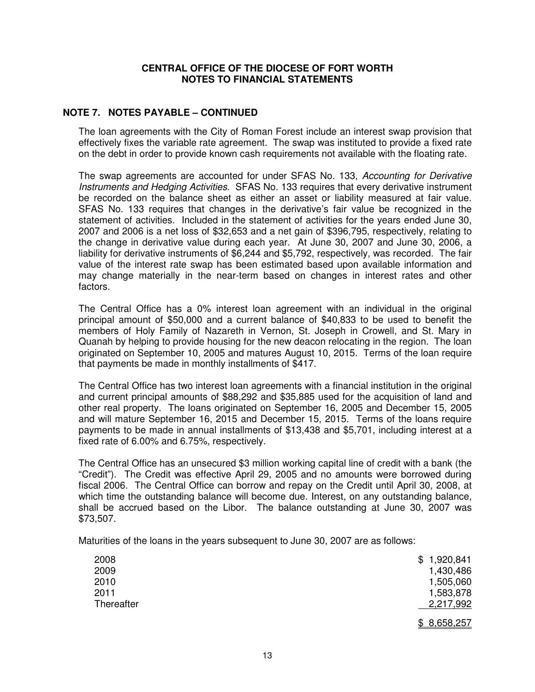#### **NOTE 7. NOTES PAYABLE – CONTINUED**

The loan agreements with the City of Roman Forest include an interest swap provision that effectively fixes the variable rate agreement. The swap was instituted to provide a fixed rate on the debt in order to provide known cash requirements not available with the floating rate.

The swap agreements are accounted for under SFAS No. 133, *Accounting for Derivative Instruments and Hedging Activities*. SFAS No. 133 requires that every derivative instrument be recorded on the balance sheet as either an asset or liability measured at fair value. SFAS No. 133 requires that changes in the derivative's fair value be recognized in the statement of activities. Included in the statement of activities for the years ended June 30, 2007 and 2006 is a net loss of \$32,653 and a net gain of \$396,795, respectively, relating to the change in derivative value during each year. At June 30, 2007 and June 30, 2006, a liability for derivative instruments of \$6,244 and \$5,792, respectively, was recorded. The fair value of the interest rate swap has been estimated based upon available information and may change materially in the near-term based on changes in interest rates and other factors.

The Central Office has a 0% interest loan agreement with an individual in the original principal amount of \$50,000 and a current balance of \$40,833 to be used to benefit the members of Holy Family of Nazareth in Vernon, St. Joseph in Crowell, and St. Mary in Quanah by helping to provide housing for the new deacon relocating in the region. The loan originated on September 10, 2005 and matures August 10, 2015. Terms of the loan require that payments be made in monthly installments of \$417.

The Central Office has two interest loan agreements with a financial institution in the original and current principal amounts of \$88,292 and \$35,885 used for the acquisition of land and other real property. The loans originated on September 16, 2005 and December 15, 2005 and will mature September 16, 2015 and December 15, 2015. Terms of the loans require payments to be made in annual installments of \$13,438 and \$5,701, including interest at a fixed rate of 6.00% and 6.75%, respectively.

The Central Office has an unsecured \$3 million working capital line of credit with a bank (the "Credit"). The Credit was effective April 29, 2005 and no amounts were borrowed during fiscal 2006. The Central Office can borrow and repay on the Credit until April 30, 2008, at which time the outstanding balance will become due. Interest, on any outstanding balance, shall be accrued based on the Libor. The balance outstanding at June 30, 2007 was \$73,507.

Maturities of the loans in the years subsequent to June 30, 2007 are as follows:

| 2008       | \$1,920,841 |
|------------|-------------|
| 2009       | 1,430,486   |
| 2010       | 1,505,060   |
| 2011       | 1,583,878   |
| Thereafter | 2,217,992   |
|            |             |

\$ 8,658,257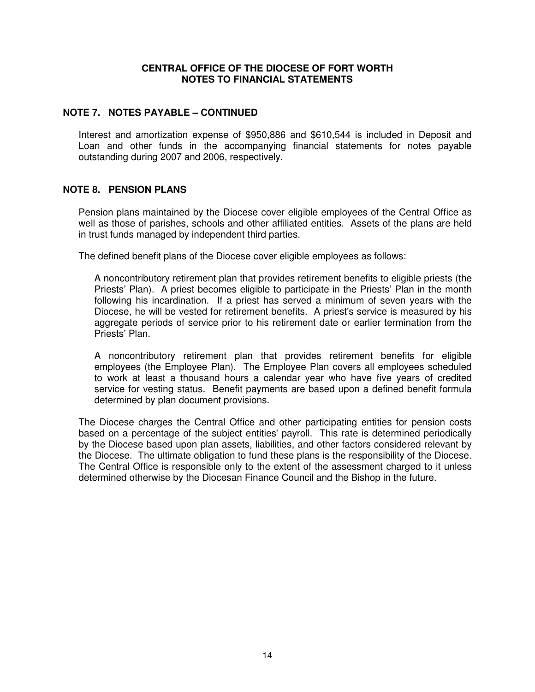#### **NOTE 7. NOTES PAYABLE – CONTINUED**

Interest and amortization expense of \$950,886 and \$610,544 is included in Deposit and Loan and other funds in the accompanying financial statements for notes payable outstanding during 2007 and 2006, respectively.

#### **NOTE 8. PENSION PLANS**

Pension plans maintained by the Diocese cover eligible employees of the Central Office as well as those of parishes, schools and other affiliated entities. Assets of the plans are held in trust funds managed by independent third parties.

The defined benefit plans of the Diocese cover eligible employees as follows:

A noncontributory retirement plan that provides retirement benefits to eligible priests (the Priests' Plan). A priest becomes eligible to participate in the Priests' Plan in the month following his incardination. If a priest has served a minimum of seven years with the Diocese, he will be vested for retirement benefits. A priest's service is measured by his aggregate periods of service prior to his retirement date or earlier termination from the Priests' Plan.

A noncontributory retirement plan that provides retirement benefits for eligible employees (the Employee Plan). The Employee Plan covers all employees scheduled to work at least a thousand hours a calendar year who have five years of credited service for vesting status. Benefit payments are based upon a defined benefit formula determined by plan document provisions.

The Diocese charges the Central Office and other participating entities for pension costs based on a percentage of the subject entities'payroll. This rate is determined periodically by the Diocese based upon plan assets, liabilities, and other factors considered relevant by the Diocese. The ultimate obligation to fund these plans is the responsibility of the Diocese. The Central Office is responsible only to the extent of the assessment charged to it unless determined otherwise by the Diocesan Finance Council and the Bishop in the future.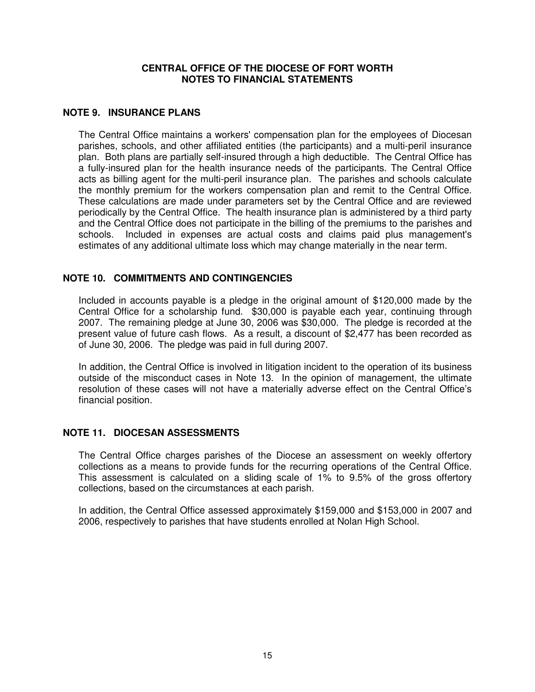#### **NOTE 9. INSURANCE PLANS**

The Central Office maintains a workers'compensation plan for the employees of Diocesan parishes, schools, and other affiliated entities (the participants) and a multi-peril insurance plan. Both plans are partially self-insured through a high deductible. The Central Office has a fully-insured plan for the health insurance needs of the participants. The Central Office acts as billing agent for the multi-peril insurance plan. The parishes and schools calculate the monthly premium for the workers compensation plan and remit to the Central Office. These calculations are made under parameters set by the Central Office and are reviewed periodically by the Central Office. The health insurance plan is administered by a third party and the Central Office does not participate in the billing of the premiums to the parishes and schools. Included in expenses are actual costs and claims paid plus management's estimates of any additional ultimate loss which may change materially in the near term.

#### **NOTE 10. COMMITMENTS AND CONTINGENCIES**

Included in accounts payable is a pledge in the original amount of \$120,000 made by the Central Office for a scholarship fund. \$30,000 is payable each year, continuing through 2007. The remaining pledge at June 30, 2006 was \$30,000. The pledge is recorded at the present value of future cash flows. As a result, a discount of \$2,477 has been recorded as of June 30, 2006. The pledge was paid in full during 2007.

In addition, the Central Office is involved in litigation incident to the operation of its business outside of the misconduct cases in Note 13. In the opinion of management, the ultimate resolution of these cases will not have a materially adverse effect on the Central Office's financial position.

#### **NOTE 11. DIOCESAN ASSESSMENTS**

The Central Office charges parishes of the Diocese an assessment on weekly offertory collections as a means to provide funds for the recurring operations of the Central Office. This assessment is calculated on a sliding scale of 1% to 9.5% of the gross offertory collections, based on the circumstances at each parish.

In addition, the Central Office assessed approximately \$159,000 and \$153,000 in 2007 and 2006, respectively to parishes that have students enrolled at Nolan High School.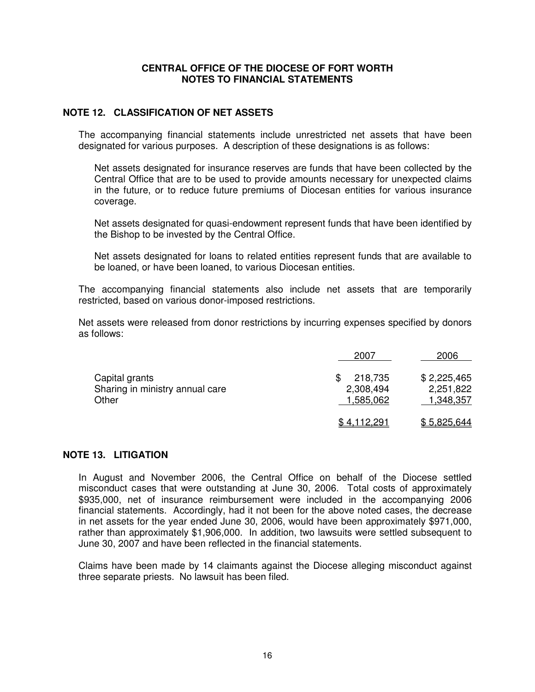#### **NOTE 12. CLASSIFICATION OF NET ASSETS**

The accompanying financial statements include unrestricted net assets that have been designated for various purposes. A description of these designations is as follows:

Net assets designated for insurance reserves are funds that have been collected by the Central Office that are to be used to provide amounts necessary for unexpected claims in the future, or to reduce future premiums of Diocesan entities for various insurance coverage.

Net assets designated for quasi-endowment represent funds that have been identified by the Bishop to be invested by the Central Office.

Net assets designated for loans to related entities represent funds that are available to be loaned, or have been loaned, to various Diocesan entities.

The accompanying financial statements also include net assets that are temporarily restricted, based on various donor-imposed restrictions.

Net assets were released from donor restrictions by incurring expenses specified by donors as follows:

|                                 | 2007      | 2006        |
|---------------------------------|-----------|-------------|
| Capital grants                  | 218,735   | \$2,225,465 |
| Sharing in ministry annual care | 2,308,494 | 2,251,822   |
| Other                           | 1,585,062 | 1,348,357   |
|                                 | 4.112.291 | \$5.825.644 |

#### **NOTE 13. LITIGATION**

In August and November 2006, the Central Office on behalf of the Diocese settled misconduct cases that were outstanding at June 30, 2006. Total costs of approximately \$935,000, net of insurance reimbursement were included in the accompanying 2006 financial statements. Accordingly, had it not been for the above noted cases, the decrease in net assets for the year ended June 30, 2006, would have been approximately \$971,000, rather than approximately \$1,906,000. In addition, two lawsuits were settled subsequent to June 30, 2007 and have been reflected in the financial statements.

Claims have been made by 14 claimants against the Diocese alleging misconduct against three separate priests. No lawsuit has been filed.